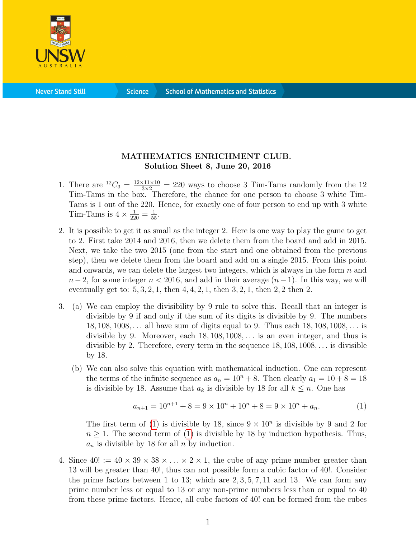

**Science** 

## MATHEMATICS ENRICHMENT CLUB. Solution Sheet 8, June 20, 2016

- 1. There are  ${}^{12}C_3 = \frac{12 \times 11 \times 10}{3 \times 2} = 220$  ways to choose 3 Tim-Tams randomly from the 12 Tim-Tams in the box. Therefore, the chance for one person to choose 3 white Tim-Tams is 1 out of the 220. Hence, for exactly one of four person to end up with 3 white Tim-Tams is  $4 \times \frac{1}{220} = \frac{1}{55}$ .
- 2. It is possible to get it as small as the integer 2. Here is one way to play the game to get to 2. First take 2014 and 2016, then we delete them from the board and add in 2015. Next, we take the two 2015 (one from the start and one obtained from the previous step), then we delete them from the board and add on a single 2015. From this point and onwards, we can delete the largest two integers, which is always in the form  $n$  and  $n-2$ , for some integer  $n < 2016$ , and add in their average  $(n-1)$ . In this way, we will eventually get to:  $5, 3, 2, 1$ , then  $4, 4, 2, 1$ , then  $3, 2, 1$ , then  $2, 2$  then  $2$ .
- 3. (a) We can employ the divisibility by 9 rule to solve this. Recall that an integer is divisible by 9 if and only if the sum of its digits is divisible by 9. The numbers 18, 108, 1008, . . . all have sum of digits equal to 9. Thus each 18, 108, 1008, . . . is divisible by 9. Moreover, each  $18, 108, 1008, \ldots$  is an even integer, and thus is divisible by 2. Therefore, every term in the sequence  $18, 108, 1008, \ldots$  is divisible by 18.
	- (b) We can also solve this equation with mathematical induction. One can represent the terms of the infinite sequence as  $a_n = 10^n + 8$ . Then clearly  $a_1 = 10 + 8 = 18$ is divisible by 18. Assume that  $a_k$  is divisible by 18 for all  $k \leq n$ . One has

<span id="page-0-0"></span>
$$
a_{n+1} = 10^{n+1} + 8 = 9 \times 10^n + 10^n + 8 = 9 \times 10^n + a_n.
$$
 (1)

The first term of [\(1\)](#page-0-0) is divisible by 18, since  $9 \times 10^n$  is divisible by 9 and 2 for  $n \geq 1$ . The second term of [\(1\)](#page-0-0) is divisible by 18 by induction hypothesis. Thus,  $a_n$  is divisible by 18 for all n by induction.

4. Since  $40! := 40 \times 39 \times 38 \times \ldots \times 2 \times 1$ , the cube of any prime number greater than 13 will be greater than 40!, thus can not possible form a cubic factor of 40!. Consider the prime factors between 1 to 13; which are  $2, 3, 5, 7, 11$  and 13. We can form any prime number less or equal to 13 or any non-prime numbers less than or equal to 40 from these prime factors. Hence, all cube factors of 40! can be formed from the cubes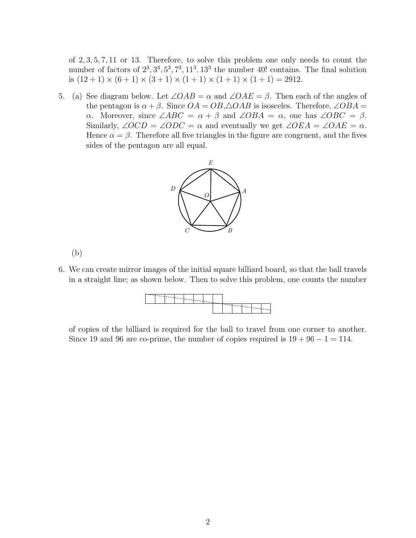of 2, 3, 5, 7, 11 or 13. Therefore, to solve this problem one only needs to count the number of factors of  $2^3$ ,  $3^3$ ,  $5^3$ ,  $7^3$ ,  $11^3$ ,  $13^3$  the number 40! contains. The final solution is  $(12 + 1) \times (6 + 1) \times (3 + 1) \times (1 + 1) \times (1 + 1) \times (1 + 1) = 2912$ .

5. (a) See diagram below. Let  $\angle OAB = \alpha$  and  $\angle OAE = \beta$ . Then each of the angles of the pentagon is  $\alpha + \beta$ . Since  $OA = OB$ ,  $\triangle OAB$  is isosceles. Therefore,  $\angle OBA =$ α. Moreover, since  $\angle ABC = \alpha + \beta$  and  $\angle OBA = \alpha$ , one has  $\angle OBC = \beta$ . Similarly,  $\angle OCD = \angle ODC = \alpha$  and eventually we get  $\angle OEA = \angle OAE = \alpha$ . Hence  $\alpha = \beta$ . Therefore all five triangles in the figure are congruent, and the fives sides of the pentagon are all equal.



(b)

6. We can create mirror images of the initial square billiard board, so that the ball travels in a straight line; as shown below. Then to solve this problem, one counts the number



of copies of the billiard is required for the ball to travel from one corner to another. Since 19 and 96 are co-prime, the number of copies required is  $19 + 96 - 1 = 114$ .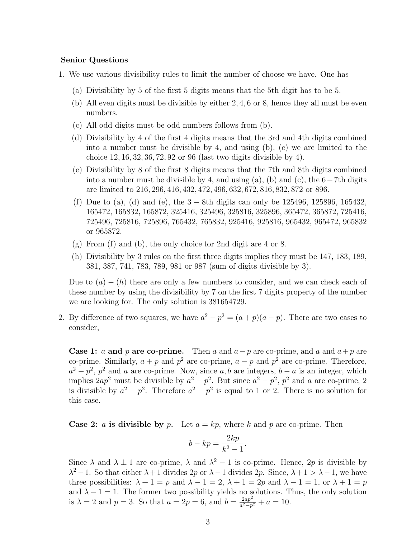## Senior Questions

- 1. We use various divisibility rules to limit the number of choose we have. One has
	- (a) Divisibility by 5 of the first 5 digits means that the 5th digit has to be 5.
	- (b) All even digits must be divisible by either 2, 4, 6 or 8, hence they all must be even numbers.
	- (c) All odd digits must be odd numbers follows from (b).
	- (d) Divisibility by 4 of the first 4 digits means that the 3rd and 4th digits combined into a number must be divisible by 4, and using (b), (c) we are limited to the choice 12, 16, 32, 36, 72, 92 or 96 (last two digits divisible by 4).
	- (e) Divisibility by 8 of the first 8 digits means that the 7th and 8th digits combined into a number must be divisible by 4, and using (a), (b) and (c), the  $6-7$ th digits are limited to 216, 296, 416, 432, 472, 496, 632, 672, 816, 832, 872 or 896.
	- (f) Due to (a), (d) and (e), the  $3 8$ th digits can only be 125496, 125896, 165432, 165472, 165832, 165872, 325416, 325496, 325816, 325896, 365472, 365872, 725416, 725496, 725816, 725896, 765432, 765832, 925416, 925816, 965432, 965472, 965832 or 965872.
	- (g) From (f) and (b), the only choice for 2nd digit are 4 or 8.
	- (h) Divisibility by 3 rules on the first three digits implies they must be 147, 183, 189, 381, 387, 741, 783, 789, 981 or 987 (sum of digits divisible by 3).

Due to  $(a) - (h)$  there are only a few numbers to consider, and we can check each of these number by using the divisibility by 7 on the first 7 digits property of the number we are looking for. The only solution is 381654729.

2. By difference of two squares, we have  $a^2 - p^2 = (a+p)(a-p)$ . There are two cases to consider,

**Case 1:** a and p are co-prime. Then a and  $a-p$  are co-prime, and a and  $a+p$  are co-prime. Similarly,  $a + p$  and  $p^2$  are co-prime,  $a - p$  and  $p^2$  are co-prime. Therefore,  $a^2 - p^2$ ,  $p^2$  and a are co-prime. Now, since a, b are integers,  $b - a$  is an integer, which implies  $2ap^2$  must be divisible by  $a^2 - p^2$ . But since  $a^2 - p^2$ ,  $p^2$  and a are co-prime, 2 is divisible by  $a^2 - p^2$ . Therefore  $a^2 - p^2$  is equal to 1 or 2. There is no solution for this case.

**Case 2:** a is divisible by p. Let  $a = kp$ , where k and p are co-prime. Then

$$
b - kp = \frac{2kp}{k^2 - 1}.
$$

Since  $\lambda$  and  $\lambda \pm 1$  are co-prime,  $\lambda$  and  $\lambda^2 - 1$  is co-prime. Hence, 2p is divisible by  $\lambda^2 - 1$ . So that either  $\lambda + 1$  divides 2p or  $\lambda - 1$  divides 2p. Since,  $\lambda + 1 > \lambda - 1$ , we have three possibilities:  $\lambda + 1 = p$  and  $\lambda - 1 = 2$ ,  $\lambda + 1 = 2p$  and  $\lambda - 1 = 1$ , or  $\lambda + 1 = p$ and  $\lambda - 1 = 1$ . The former two possibility yields no solutions. Thus, the only solution is  $\lambda = 2$  and  $p = 3$ . So that  $a = 2p = 6$ , and  $b = \frac{2ap^2}{a^2 - p}$  $\frac{2ap^2}{a^2-p^2}+a=10.$